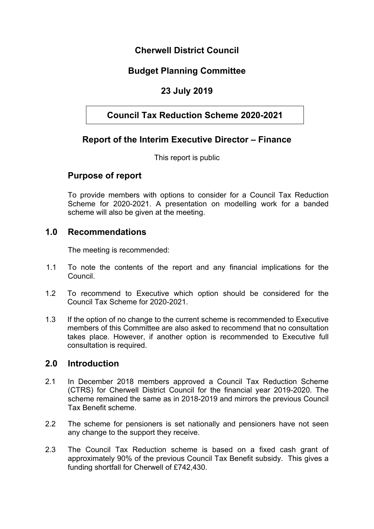## **Cherwell District Council**

## **Budget Planning Committee**

## **23 July 2019**

## **Council Tax Reduction Scheme 2020-2021**

## **Report of the Interim Executive Director – Finance**

This report is public

## **Purpose of report**

To provide members with options to consider for a Council Tax Reduction Scheme for 2020-2021. A presentation on modelling work for a banded scheme will also be given at the meeting.

### **1.0 Recommendations**

The meeting is recommended:

- 1.1 To note the contents of the report and any financial implications for the Council.
- 1.2 To recommend to Executive which option should be considered for the Council Tax Scheme for 2020-2021.
- 1.3 If the option of no change to the current scheme is recommended to Executive members of this Committee are also asked to recommend that no consultation takes place. However, if another option is recommended to Executive full consultation is required.

## **2.0 Introduction**

- 2.1 In December 2018 members approved a Council Tax Reduction Scheme (CTRS) for Cherwell District Council for the financial year 2019-2020. The scheme remained the same as in 2018-2019 and mirrors the previous Council Tax Benefit scheme.
- 2.2 The scheme for pensioners is set nationally and pensioners have not seen any change to the support they receive.
- 2.3 The Council Tax Reduction scheme is based on a fixed cash grant of approximately 90% of the previous Council Tax Benefit subsidy. This gives a funding shortfall for Cherwell of £742,430.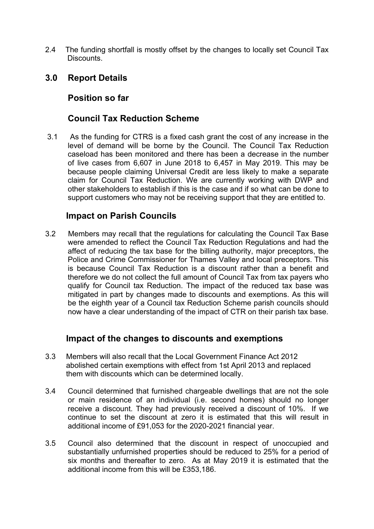2.4 The funding shortfall is mostly offset by the changes to locally set Council Tax Discounts.

### **3.0 Report Details**

### **Position so far**

### **Council Tax Reduction Scheme**

3.1 As the funding for CTRS is a fixed cash grant the cost of any increase in the level of demand will be borne by the Council. The Council Tax Reduction caseload has been monitored and there has been a decrease in the number of live cases from 6,607 in June 2018 to 6,457 in May 2019. This may be because people claiming Universal Credit are less likely to make a separate claim for Council Tax Reduction. We are currently working with DWP and other stakeholders to establish if this is the case and if so what can be done to support customers who may not be receiving support that they are entitled to.

### **Impact on Parish Councils**

3.2 Members may recall that the regulations for calculating the Council Tax Base were amended to reflect the Council Tax Reduction Regulations and had the affect of reducing the tax base for the billing authority, major preceptors, the Police and Crime Commissioner for Thames Valley and local preceptors. This is because Council Tax Reduction is a discount rather than a benefit and therefore we do not collect the full amount of Council Tax from tax payers who qualify for Council tax Reduction. The impact of the reduced tax base was mitigated in part by changes made to discounts and exemptions. As this will be the eighth year of a Council tax Reduction Scheme parish councils should now have a clear understanding of the impact of CTR on their parish tax base.

## **Impact of the changes to discounts and exemptions**

- 3.3 Members will also recall that the Local Government Finance Act 2012 abolished certain exemptions with effect from 1st April 2013 and replaced them with discounts which can be determined locally.
- 3.4 Council determined that furnished chargeable dwellings that are not the sole or main residence of an individual (i.e. second homes) should no longer receive a discount. They had previously received a discount of 10%. If we continue to set the discount at zero it is estimated that this will result in additional income of £91,053 for the 2020-2021 financial year.
- 3.5 Council also determined that the discount in respect of unoccupied and substantially unfurnished properties should be reduced to 25% for a period of six months and thereafter to zero. As at May 2019 it is estimated that the additional income from this will be £353,186.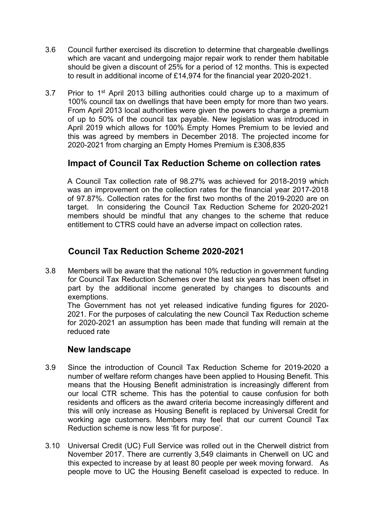- 3.6 Council further exercised its discretion to determine that chargeable dwellings which are vacant and undergoing major repair work to render them habitable should be given a discount of 25% for a period of 12 months. This is expected to result in additional income of £14,974 for the financial year 2020-2021.
- 3.7 Prior to 1<sup>st</sup> April 2013 billing authorities could charge up to a maximum of 100% council tax on dwellings that have been empty for more than two years. From April 2013 local authorities were given the powers to charge a premium of up to 50% of the council tax payable. New legislation was introduced in April 2019 which allows for 100% Empty Homes Premium to be levied and this was agreed by members in December 2018. The projected income for 2020-2021 from charging an Empty Homes Premium is £308,835

## **Impact of Council Tax Reduction Scheme on collection rates**

A Council Tax collection rate of 98.27% was achieved for 2018-2019 which was an improvement on the collection rates for the financial year 2017-2018 of 97.87%. Collection rates for the first two months of the 2019-2020 are on target. In considering the Council Tax Reduction Scheme for 2020-2021 members should be mindful that any changes to the scheme that reduce entitlement to CTRS could have an adverse impact on collection rates.

## **Council Tax Reduction Scheme 2020-2021**

3.8 Members will be aware that the national 10% reduction in government funding for Council Tax Reduction Schemes over the last six years has been offset in part by the additional income generated by changes to discounts and exemptions.

The Government has not yet released indicative funding figures for 2020- 2021. For the purposes of calculating the new Council Tax Reduction scheme for 2020-2021 an assumption has been made that funding will remain at the reduced rate

## **New landscape**

- 3.9 Since the introduction of Council Tax Reduction Scheme for 2019-2020 a number of welfare reform changes have been applied to Housing Benefit. This means that the Housing Benefit administration is increasingly different from our local CTR scheme. This has the potential to cause confusion for both residents and officers as the award criteria become increasingly different and this will only increase as Housing Benefit is replaced by Universal Credit for working age customers. Members may feel that our current Council Tax Reduction scheme is now less 'fit for purpose'.
- 3.10 Universal Credit (UC) Full Service was rolled out in the Cherwell district from November 2017. There are currently 3,549 claimants in Cherwell on UC and this expected to increase by at least 80 people per week moving forward. As people move to UC the Housing Benefit caseload is expected to reduce. In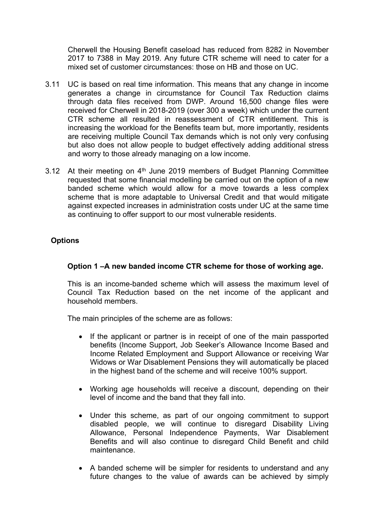Cherwell the Housing Benefit caseload has reduced from 8282 in November 2017 to 7388 in May 2019. Any future CTR scheme will need to cater for a mixed set of customer circumstances: those on HB and those on UC.

- 3.11 UC is based on real time information. This means that any change in income generates a change in circumstance for Council Tax Reduction claims through data files received from DWP. Around 16,500 change files were received for Cherwell in 2018-2019 (over 300 a week) which under the current CTR scheme all resulted in reassessment of CTR entitlement. This is increasing the workload for the Benefits team but, more importantly, residents are receiving multiple Council Tax demands which is not only very confusing but also does not allow people to budget effectively adding additional stress and worry to those already managing on a low income.
- 3.12 At their meeting on 4<sup>th</sup> June 2019 members of Budget Planning Committee requested that some financial modelling be carried out on the option of a new banded scheme which would allow for a move towards a less complex scheme that is more adaptable to Universal Credit and that would mitigate against expected increases in administration costs under UC at the same time as continuing to offer support to our most vulnerable residents.

#### **Options**

#### **Option 1 –A new banded income CTR scheme for those of working age.**

This is an income-banded scheme which will assess the maximum level of Council Tax Reduction based on the net income of the applicant and household members.

The main principles of the scheme are as follows:

- If the applicant or partner is in receipt of one of the main passported benefits (Income Support, Job Seeker's Allowance Income Based and Income Related Employment and Support Allowance or receiving War Widows or War Disablement Pensions they will automatically be placed in the highest band of the scheme and will receive 100% support.
- Working age households will receive a discount, depending on their level of income and the band that they fall into.
- Under this scheme, as part of our ongoing commitment to support disabled people, we will continue to disregard Disability Living Allowance, Personal Independence Payments, War Disablement Benefits and will also continue to disregard Child Benefit and child maintenance.
- A banded scheme will be simpler for residents to understand and any future changes to the value of awards can be achieved by simply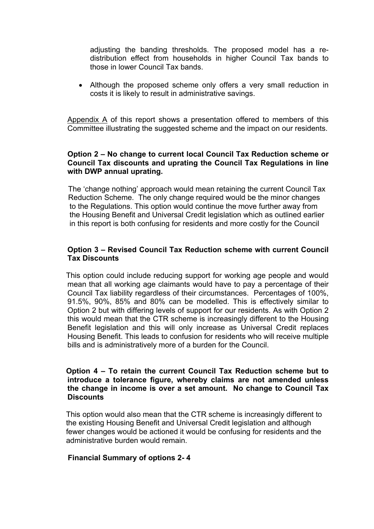adjusting the banding thresholds. The proposed model has a redistribution effect from households in higher Council Tax bands to those in lower Council Tax bands.

 Although the proposed scheme only offers a very small reduction in costs it is likely to result in administrative savings.

Appendix A of this report shows a presentation offered to members of this Committee illustrating the suggested scheme and the impact on our residents.

#### **Option 2 – No change to current local Council Tax Reduction scheme or Council Tax discounts and uprating the Council Tax Regulations in line with DWP annual uprating.**

 The 'change nothing' approach would mean retaining the current Council Tax Reduction Scheme. The only change required would be the minor changes to the Regulations. This option would continue the move further away from the Housing Benefit and Universal Credit legislation which as outlined earlier in this report is both confusing for residents and more costly for the Council

#### **Option 3 – Revised Council Tax Reduction scheme with current Council Tax Discounts**

 This option could include reducing support for working age people and would mean that all working age claimants would have to pay a percentage of their Council Tax liability regardless of their circumstances. Percentages of 100%, 91.5%, 90%, 85% and 80% can be modelled. This is effectively similar to Option 2 but with differing levels of support for our residents. As with Option 2 this would mean that the CTR scheme is increasingly different to the Housing Benefit legislation and this will only increase as Universal Credit replaces Housing Benefit. This leads to confusion for residents who will receive multiple bills and is administratively more of a burden for the Council.

#### **Option 4 – To retain the current Council Tax Reduction scheme but to introduce a tolerance figure, whereby claims are not amended unless the change in income is over a set amount. No change to Council Tax Discounts**

 This option would also mean that the CTR scheme is increasingly different to the existing Housing Benefit and Universal Credit legislation and although fewer changes would be actioned it would be confusing for residents and the administrative burden would remain.

#### **Financial Summary of options 2- 4**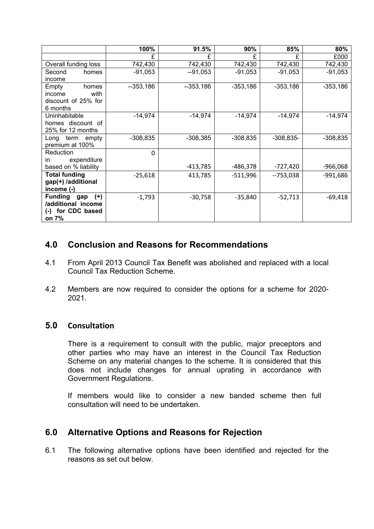|                                | 100%       | 91.5%      | 90%        | 85%         | 80%        |
|--------------------------------|------------|------------|------------|-------------|------------|
|                                | £          | £          | F          | £           | £000       |
| Overall funding loss           | 742,430    | 742,430    | 742,430    | 742,430     | 742,430    |
| Second<br>homes                | $-91,053$  | $-91,053$  | $-91,053$  | -91,053     | $-91,053$  |
| income                         |            |            |            |             |            |
| Empty<br>homes                 | $-353,186$ | $-353,186$ | $-353,186$ | $-353,186$  | $-353,186$ |
| with<br>income                 |            |            |            |             |            |
| discount of 25% for            |            |            |            |             |            |
| 6 months                       |            |            |            |             |            |
| Uninhabitable                  | $-14,974$  | $-14,974$  | $-14,974$  | $-14,974$   | $-14,974$  |
| homes discount of              |            |            |            |             |            |
| 25% for 12 months              |            |            |            |             |            |
| term<br>Long<br>empty          | $-308,835$ | $-308,385$ | $-308,835$ | $-308,835-$ | $-308,835$ |
| premium at 100%                |            |            |            |             |            |
| Reduction                      | $\Omega$   |            |            |             |            |
| expenditure<br>in.             |            |            |            |             |            |
| based on % liability           |            | $-413,785$ | -486,378   | $-727,420$  | $-966,068$ |
| <b>Total funding</b>           | $-25,618$  | 413,785    | -511,996   | --753,038   | $-991,686$ |
| gap(+) /additional             |            |            |            |             |            |
| income (-)                     |            |            |            |             |            |
| <b>Funding</b><br>$(+)$<br>gap | $-1,793$   | $-30,758$  | $-35,840$  | $-52,713$   | $-69,418$  |
| /additional income             |            |            |            |             |            |
| for CDC based<br>$(-)$         |            |            |            |             |            |
| on 7%                          |            |            |            |             |            |

## **4.0 Conclusion and Reasons for Recommendations**

- 4.1 From April 2013 Council Tax Benefit was abolished and replaced with a local Council Tax Reduction Scheme.
- 4.2 Members are now required to consider the options for a scheme for 2020- 2021.

### **5.0 Consultation**

There is a requirement to consult with the public, major preceptors and other parties who may have an interest in the Council Tax Reduction Scheme on any material changes to the scheme. It is considered that this does not include changes for annual uprating in accordance with Government Regulations.

If members would like to consider a new banded scheme then full consultation will need to be undertaken.

## **6.0 Alternative Options and Reasons for Rejection**

6.1 The following alternative options have been identified and rejected for the reasons as set out below.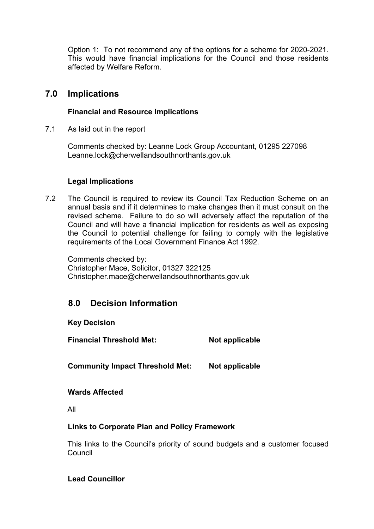Option 1: To not recommend any of the options for a scheme for 2020-2021. This would have financial implications for the Council and those residents affected by Welfare Reform.

### **7.0 Implications**

#### **Financial and Resource Implications**

7.1 As laid out in the report

Comments checked by: Leanne Lock Group Accountant, 01295 227098 Leanne.lock@cherwellandsouthnorthants.gov.uk

#### **Legal Implications**

7.2 The Council is required to review its Council Tax Reduction Scheme on an annual basis and if it determines to make changes then it must consult on the revised scheme. Failure to do so will adversely affect the reputation of the Council and will have a financial implication for residents as well as exposing the Council to potential challenge for failing to comply with the legislative requirements of the Local Government Finance Act 1992.

Comments checked by: Christopher Mace, Solicitor, 01327 322125 Christopher.mace@cherwellandsouthnorthants.gov.uk

## **8.0 Decision Information**

### **Key Decision**

**Financial Threshold Met: Not applicable**

**Community Impact Threshold Met: Not applicable**

#### **Wards Affected**

All

#### **Links to Corporate Plan and Policy Framework**

This links to the Council's priority of sound budgets and a customer focused Council

### **Lead Councillor**